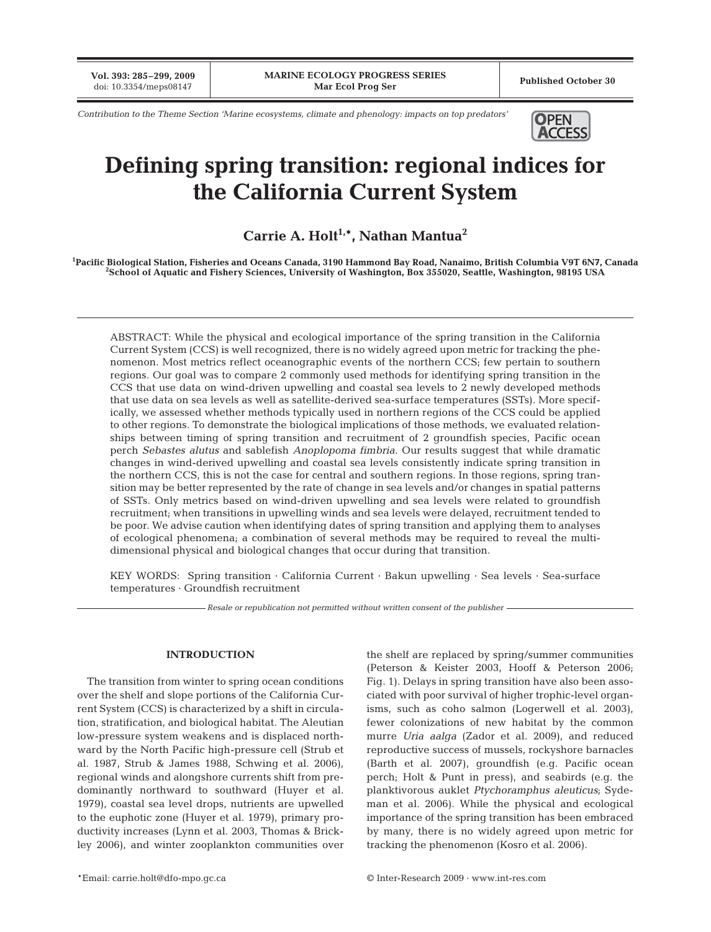**Vol. 393: 285–299, 2009**

*Contribution to the Theme Section 'Marine ecosystems, climate and phenology: impacts on top predators'* **OPEN** 



# **Defining spring transition: regional indices for the California Current System**

Carrie A. Holt<sup>1,\*</sup>, Nathan Mantua<sup>2</sup>

**1 Pacific Biological Station, Fisheries and Oceans Canada, 3190 Hammond Bay Road, Nanaimo, British Columbia V9T 6N7, Canada <sup>2</sup> School of Aquatic and Fishery Sciences, University of Washington, Box 355020, Seattle, Washington, 98195 USA**

ABSTRACT: While the physical and ecological importance of the spring transition in the California Current System (CCS) is well recognized, there is no widely agreed upon metric for tracking the phenomenon. Most metrics reflect oceanographic events of the northern CCS; few pertain to southern regions. Our goal was to compare 2 commonly used methods for identifying spring transition in the CCS that use data on wind-driven upwelling and coastal sea levels to 2 newly developed methods that use data on sea levels as well as satellite-derived sea-surface temperatures (SSTs). More specifically, we assessed whether methods typically used in northern regions of the CCS could be applied to other regions. To demonstrate the biological implications of those methods, we evaluated relationships between timing of spring transition and recruitment of 2 groundfish species, Pacific ocean perch *Sebastes alutus* and sablefish *Anoplopoma fimbria*. Our results suggest that while dramatic changes in wind-derived upwelling and coastal sea levels consistently indicate spring transition in the northern CCS, this is not the case for central and southern regions. In those regions, spring transition may be better represented by the rate of change in sea levels and/or changes in spatial patterns of SSTs. Only metrics based on wind-driven upwelling and sea levels were related to groundfish recruitment; when transitions in upwelling winds and sea levels were delayed, recruitment tended to be poor. We advise caution when identifying dates of spring transition and applying them to analyses of ecological phenomena; a combination of several methods may be required to reveal the multidimensional physical and biological changes that occur during that transition.

KEY WORDS: Spring transition · California Current · Bakun upwelling · Sea levels · Sea-surface temperatures · Groundfish recruitment

*Resale or republication not permitted without written consent of the publisher*

## **INTRODUCTION**

The transition from winter to spring ocean conditions over the shelf and slope portions of the California Current System (CCS) is characterized by a shift in circulation, stratification, and biological habitat. The Aleutian low-pressure system weakens and is displaced northward by the North Pacific high-pressure cell (Strub et al. 1987, Strub & James 1988, Schwing et al. 2006), regional winds and alongshore currents shift from predominantly northward to southward (Huyer et al. 1979), coastal sea level drops, nutrients are upwelled to the euphotic zone (Huyer et al. 1979), primary productivity increases (Lynn et al. 2003, Thomas & Brickley 2006), and winter zooplankton communities over the shelf are replaced by spring/summer communities (Peterson & Keister 2003, Hooff & Peterson 2006; Fig. 1). Delays in spring transition have also been associated with poor survival of higher trophic-level organisms, such as coho salmon (Logerwell et al. 2003), fewer colonizations of new habitat by the common murre *Uria aalga* (Zador et al. 2009), and reduced reproductive success of mussels, rockyshore barnacles (Barth et al. 2007), groundfish (e.g. Pacific ocean perch; Holt & Punt in press), and seabirds (e.g. the planktivorous auklet *Ptychoramphus aleuticus*; Sydeman et al. 2006). While the physical and ecological importance of the spring transition has been embraced by many, there is no widely agreed upon metric for tracking the phenomenon (Kosro et al. 2006).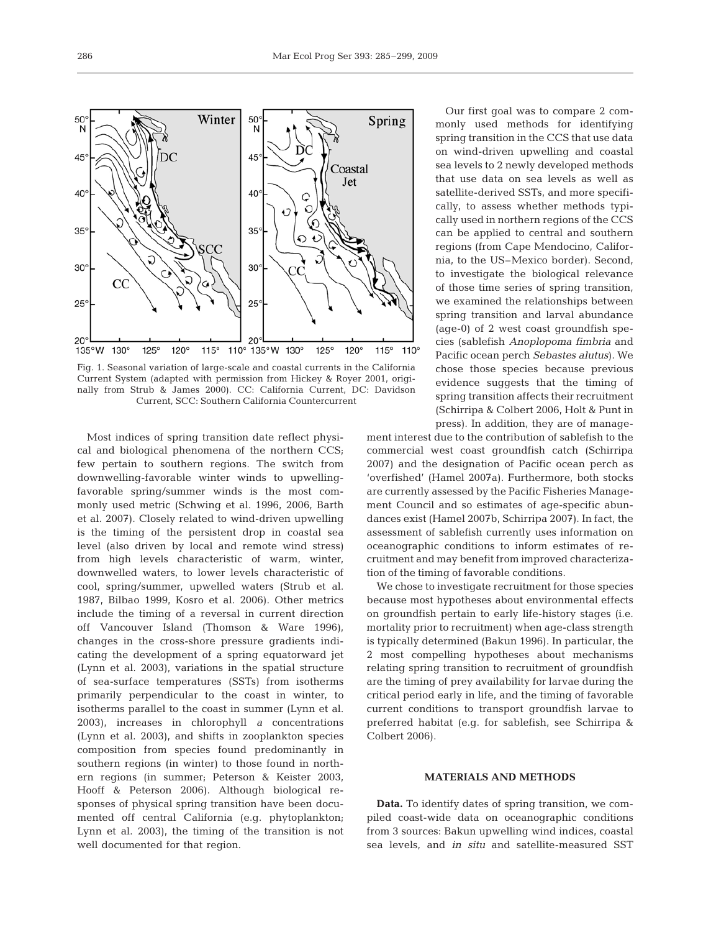

Fig. 1. Seasonal variation of large-scale and coastal currents in the California Current System (adapted with permission from Hickey & Royer 2001, originally from Strub & James 2000). CC: California Current, DC: Davidson Current, SCC: Southern California Countercurrent

Most indices of spring transition date reflect physical and biological phenomena of the northern CCS; few pertain to southern regions. The switch from downwelling-favorable winter winds to upwellingfavorable spring/summer winds is the most commonly used metric (Schwing et al. 1996, 2006, Barth et al. 2007). Closely related to wind-driven upwelling is the timing of the persistent drop in coastal sea level (also driven by local and remote wind stress) from high levels characteristic of warm, winter, downwelled waters, to lower levels characteristic of cool, spring/summer, upwelled waters (Strub et al. 1987, Bilbao 1999, Kosro et al. 2006). Other metrics include the timing of a reversal in current direction off Vancouver Island (Thomson & Ware 1996), changes in the cross-shore pressure gradients indicating the development of a spring equatorward jet (Lynn et al. 2003), variations in the spatial structure of sea-surface temperatures (SSTs) from isotherms primarily perpendicular to the coast in winter, to isotherms parallel to the coast in summer (Lynn et al. 2003), increases in chlorophyll *a* concentrations (Lynn et al. 2003), and shifts in zooplankton species composition from species found predominantly in southern regions (in winter) to those found in northern regions (in summer; Peterson & Keister 2003, Hooff & Peterson 2006). Although biological responses of physical spring transition have been documented off central California (e.g. phytoplankton; Lynn et al. 2003), the timing of the transition is not well documented for that region.

Our first goal was to compare 2 commonly used methods for identifying spring transition in the CCS that use data on wind-driven upwelling and coastal sea levels to 2 newly developed methods that use data on sea levels as well as satellite-derived SSTs, and more specifically, to assess whether methods typically used in northern regions of the CCS can be applied to central and southern regions (from Cape Mendocino, California, to the US–Mexico border). Second, to investigate the biological relevance of those time series of spring transition, we examined the relationships between spring transition and larval abundance (age-0) of 2 west coast groundfish species (sablefish *Anoplopoma fimbria* and Pacific ocean perch *Sebastes alutus*). We chose those species because previous evidence suggests that the timing of spring transition affects their recruitment (Schirripa & Colbert 2006, Holt & Punt in press). In addition, they are of manage-

ment interest due to the contribution of sablefish to the commercial west coast groundfish catch (Schirripa 2007) and the designation of Pacific ocean perch as 'overfished' (Hamel 2007a). Furthermore, both stocks are currently assessed by the Pacific Fisheries Management Council and so estimates of age-specific abundances exist (Hamel 2007b, Schirripa 2007). In fact, the assessment of sablefish currently uses information on oceanographic conditions to inform estimates of recruitment and may benefit from improved characterization of the timing of favorable conditions.

We chose to investigate recruitment for those species because most hypotheses about environmental effects on groundfish pertain to early life-history stages (i.e. mortality prior to recruitment) when age-class strength is typically determined (Bakun 1996). In particular, the 2 most compelling hypotheses about mechanisms relating spring transition to recruitment of groundfish are the timing of prey availability for larvae during the critical period early in life, and the timing of favorable current conditions to transport groundfish larvae to preferred habitat (e.g. for sablefish, see Schirripa & Colbert 2006).

## **MATERIALS AND METHODS**

**Data.** To identify dates of spring transition, we compiled coast-wide data on oceanographic conditions from 3 sources: Bakun upwelling wind indices, coastal sea levels, and *in situ* and satellite-measured SST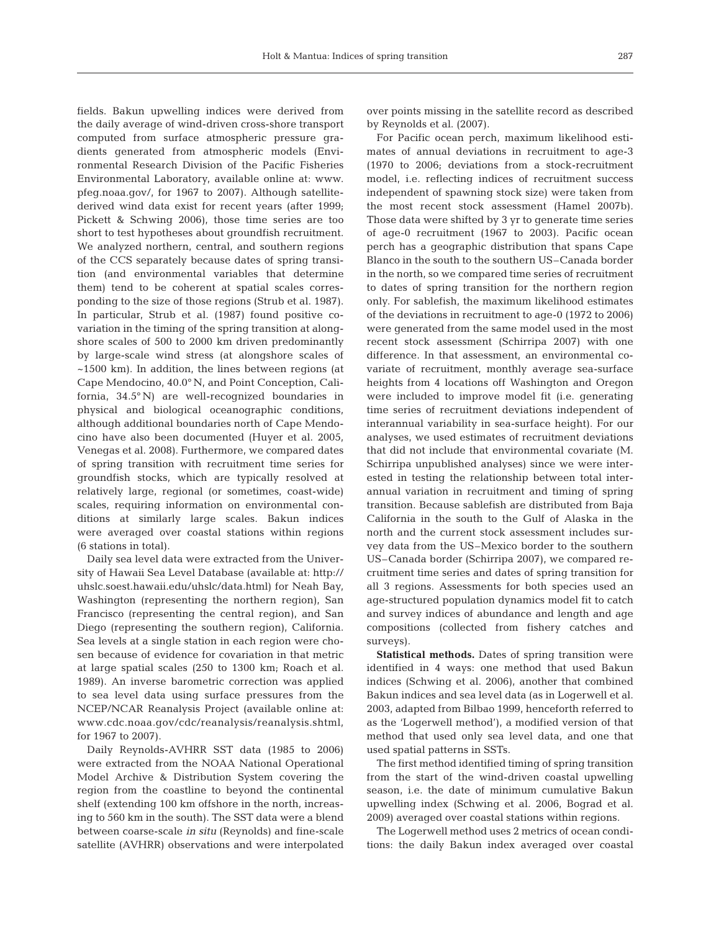fields. Bakun upwelling indices were derived from the daily average of wind-driven cross-shore transport computed from surface atmospheric pressure gradients generated from atmospheric models (Environmental Research Division of the Pacific Fisheries Environmental Laboratory, available online at: www. pfeg.noaa.gov/, for 1967 to 2007). Although satellitederived wind data exist for recent years (after 1999; Pickett & Schwing 2006), those time series are too short to test hypotheses about groundfish recruitment. We analyzed northern, central, and southern regions of the CCS separately because dates of spring transition (and environmental variables that determine them) tend to be coherent at spatial scales corresponding to the size of those regions (Strub et al. 1987). In particular, Strub et al. (1987) found positive covariation in the timing of the spring transition at alongshore scales of 500 to 2000 km driven predominantly by large-scale wind stress (at alongshore scales of ~1500 km). In addition, the lines between regions (at Cape Mendocino, 40.0° N, and Point Conception, California, 34.5° N) are well-recognized boundaries in physical and biological oceanographic conditions, although additional boundaries north of Cape Mendocino have also been documented (Huyer et al. 2005, Venegas et al. 2008). Furthermore, we compared dates of spring transition with recruitment time series for groundfish stocks, which are typically resolved at relatively large, regional (or sometimes, coast-wide) scales, requiring information on environmental conditions at similarly large scales. Bakun indices were averaged over coastal stations within regions (6 stations in total).

Daily sea level data were extracted from the University of Hawaii Sea Level Database (available at: http:// uhslc.soest.hawaii.edu/uhslc/data.html) for Neah Bay, Washington (representing the northern region), San Francisco (representing the central region), and San Diego (representing the southern region), California. Sea levels at a single station in each region were chosen because of evidence for covariation in that metric at large spatial scales (250 to 1300 km; Roach et al. 1989). An inverse barometric correction was applied to sea level data using surface pressures from the NCEP/NCAR Reanalysis Project (available online at: www.cdc.noaa.gov/cdc/reanalysis/reanalysis.shtml, for 1967 to 2007).

Daily Reynolds-AVHRR SST data (1985 to 2006) were extracted from the NOAA National Operational Model Archive & Distribution System covering the region from the coastline to beyond the continental shelf (extending 100 km offshore in the north, increasing to 560 km in the south). The SST data were a blend between coarse-scale *in situ* (Reynolds) and fine-scale satellite (AVHRR) observations and were interpolated

over points missing in the satellite record as described by Reynolds et al. (2007).

For Pacific ocean perch, maximum likelihood estimates of annual deviations in recruitment to age-3 (1970 to 2006; deviations from a stock-recruitment model, i.e. reflecting indices of recruitment success independent of spawning stock size) were taken from the most recent stock assessment (Hamel 2007b). Those data were shifted by 3 yr to generate time series of age-0 recruitment (1967 to 2003). Pacific ocean perch has a geographic distribution that spans Cape Blanco in the south to the southern US–Canada border in the north, so we compared time series of recruitment to dates of spring transition for the northern region only. For sablefish, the maximum likelihood estimates of the deviations in recruitment to age-0 (1972 to 2006) were generated from the same model used in the most recent stock assessment (Schirripa 2007) with one difference. In that assessment, an environmental covariate of recruitment, monthly average sea-surface heights from 4 locations off Washington and Oregon were included to improve model fit (i.e. generating time series of recruitment deviations independent of interannual variability in sea-surface height). For our analyses, we used estimates of recruitment deviations that did not include that environmental covariate (M. Schirripa unpublished analyses) since we were interested in testing the relationship between total interannual variation in recruitment and timing of spring transition. Because sablefish are distributed from Baja California in the south to the Gulf of Alaska in the north and the current stock assessment includes survey data from the US–Mexico border to the southern US–Canada border (Schirripa 2007), we compared recruitment time series and dates of spring transition for all 3 regions. Assessments for both species used an age-structured population dynamics model fit to catch and survey indices of abundance and length and age compositions (collected from fishery catches and surveys).

**Statistical methods.** Dates of spring transition were identified in 4 ways: one method that used Bakun indices (Schwing et al. 2006), another that combined Bakun indices and sea level data (as in Logerwell et al. 2003, adapted from Bilbao 1999, henceforth referred to as the 'Logerwell method'), a modified version of that method that used only sea level data, and one that used spatial patterns in SSTs.

The first method identified timing of spring transition from the start of the wind-driven coastal upwelling season, i.e. the date of minimum cumulative Bakun upwelling index (Schwing et al. 2006, Bograd et al. 2009) averaged over coastal stations within regions.

The Logerwell method uses 2 metrics of ocean conditions: the daily Bakun index averaged over coastal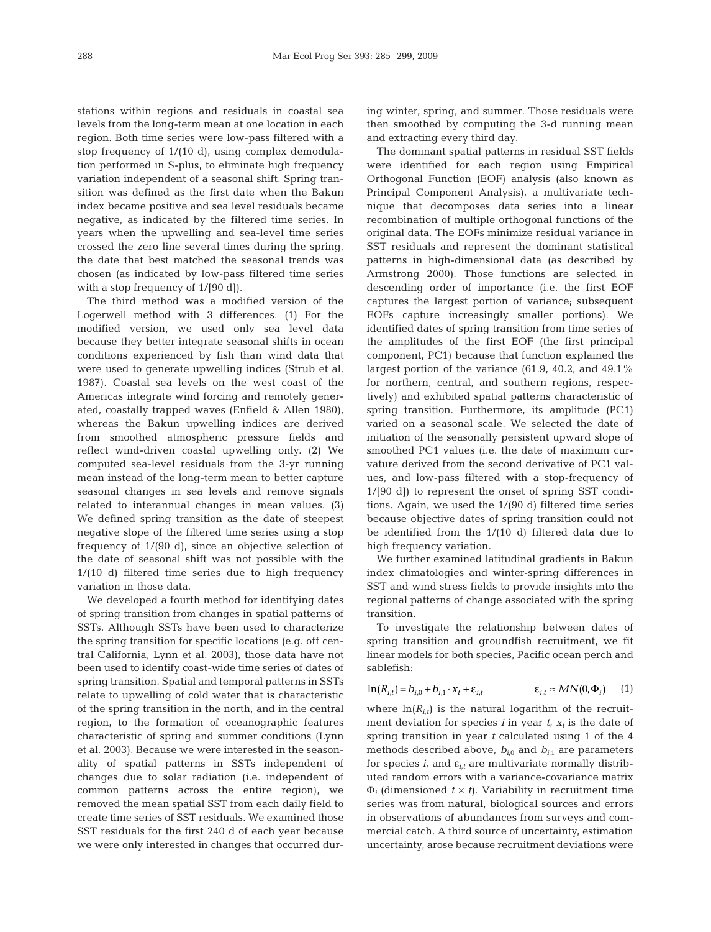stations within regions and residuals in coastal sea levels from the long-term mean at one location in each region. Both time series were low-pass filtered with a stop frequency of 1/(10 d), using complex demodulation performed in S-plus, to eliminate high frequency variation independent of a seasonal shift. Spring transition was defined as the first date when the Bakun index became positive and sea level residuals became negative, as indicated by the filtered time series. In years when the upwelling and sea-level time series crossed the zero line several times during the spring, the date that best matched the seasonal trends was chosen (as indicated by low-pass filtered time series with a stop frequency of 1/[90 d]).

The third method was a modified version of the Logerwell method with 3 differences. (1) For the modified version, we used only sea level data because they better integrate seasonal shifts in ocean conditions experienced by fish than wind data that were used to generate upwelling indices (Strub et al. 1987). Coastal sea levels on the west coast of the Americas integrate wind forcing and remotely generated, coastally trapped waves (Enfield & Allen 1980), whereas the Bakun upwelling indices are derived from smoothed atmospheric pressure fields and reflect wind-driven coastal upwelling only. (2) We computed sea-level residuals from the 3-yr running mean instead of the long-term mean to better capture seasonal changes in sea levels and remove signals related to interannual changes in mean values. (3) We defined spring transition as the date of steepest negative slope of the filtered time series using a stop frequency of 1/(90 d), since an objective selection of the date of seasonal shift was not possible with the 1/(10 d) filtered time series due to high frequency variation in those data.

We developed a fourth method for identifying dates of spring transition from changes in spatial patterns of SSTs. Although SSTs have been used to characterize the spring transition for specific locations (e.g. off central California, Lynn et al. 2003), those data have not been used to identify coast-wide time series of dates of spring transition. Spatial and temporal patterns in SSTs relate to upwelling of cold water that is characteristic of the spring transition in the north, and in the central region, to the formation of oceanographic features characteristic of spring and summer conditions (Lynn et al. 2003). Because we were interested in the seasonality of spatial patterns in SSTs independent of changes due to solar radiation (i.e. independent of common patterns across the entire region), we removed the mean spatial SST from each daily field to create time series of SST residuals. We examined those SST residuals for the first 240 d of each year because we were only interested in changes that occurred during winter, spring, and summer. Those residuals were then smoothed by computing the 3-d running mean and extracting every third day.

The dominant spatial patterns in residual SST fields were identified for each region using Empirical Orthogonal Function (EOF) analysis (also known as Principal Component Analysis), a multivariate technique that decomposes data series into a linear recombination of multiple orthogonal functions of the original data. The EOFs minimize residual variance in SST residuals and represent the dominant statistical patterns in high-dimensional data (as described by Armstrong 2000). Those functions are selected in descending order of importance (i.e. the first EOF captures the largest portion of variance; subsequent EOFs capture increasingly smaller portions). We identified dates of spring transition from time series of the amplitudes of the first EOF (the first principal component, PC1) because that function explained the largest portion of the variance (61.9, 40.2, and 49.1% for northern, central, and southern regions, respectively) and exhibited spatial patterns characteristic of spring transition. Furthermore, its amplitude (PC1) varied on a seasonal scale. We selected the date of initiation of the seasonally persistent upward slope of smoothed PC1 values (i.e. the date of maximum curvature derived from the second derivative of PC1 values, and low-pass filtered with a stop-frequency of 1/[90 d]) to represent the onset of spring SST conditions. Again, we used the 1/(90 d) filtered time series because objective dates of spring transition could not be identified from the 1/(10 d) filtered data due to high frequency variation.

We further examined latitudinal gradients in Bakun index climatologies and winter-spring differences in SST and wind stress fields to provide insights into the regional patterns of change associated with the spring transition.

To investigate the relationship between dates of spring transition and groundfish recruitment, we fit linear models for both species, Pacific ocean perch and sablefish:

$$
\ln(R_{i,t}) = b_{i,0} + b_{i,1} \cdot x_t + \varepsilon_{i,t} \qquad \varepsilon_{i,t} \approx MN(0, \Phi_i) \qquad (1)
$$

where  $\ln(R_{i,t})$  is the natural logarithm of the recruitment deviation for species  $i$  in year  $t$ ,  $x_t$  is the date of spring transition in year *t* calculated using 1 of the 4 methods described above,  $b_{i,0}$  and  $b_{i,1}$  are parameters for species *i*, and  $\varepsilon_{i}$  are multivariate normally distributed random errors with a variance-covariance matrix Φ*<sup>i</sup>* (dimensioned *t* × *t*). Variability in recruitment time series was from natural, biological sources and errors in observations of abundances from surveys and commercial catch. A third source of uncertainty, estimation uncertainty, arose because recruitment deviations were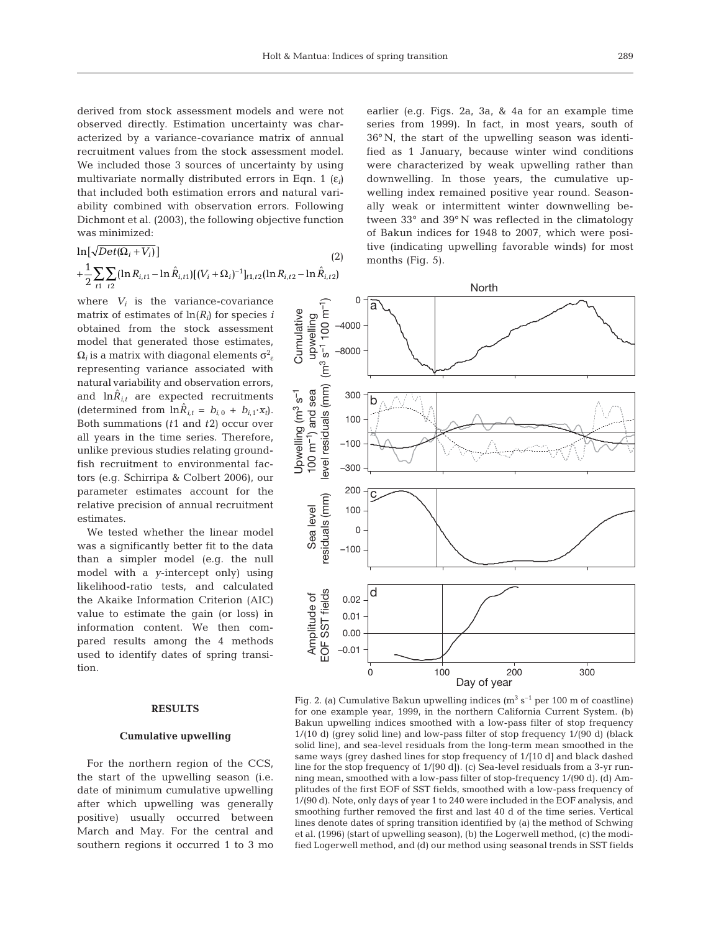derived from stock assessment models and were not observed directly. Estimation uncertainty was characterized by a variance-covariance matrix of annual recruitment values from the stock assessment model. We included those 3 sources of uncertainty by using multivariate normally distributed errors in Eqn. 1 (ε*i*) that included both estimation errors and natural variability combined with observation errors. Following Dichmont et al. (2003), the following objective function was minimized:

$$
\ln[\sqrt{Det(\Omega_i + V_i)}]
$$
\n
$$
+ \frac{1}{2} \sum_{t1} \sum_{t2} (\ln R_{i, t1} - \ln \hat{R}_{i, t1}) [(V_i + \Omega_i)^{-1}]_{t1, t2} (\ln R_{i, t2} - \ln \hat{R}_{i, t2})
$$
\n(2)

where  $V_i$  is the variance-covariance matrix of estimates of ln(*Ri*) for species *i* obtained from the stock assessment model that generated those estimates,  $\Omega_i$  is a matrix with diagonal elements  $\sigma^2_{\ \epsilon}$ representing variance associated with natural variability and observation errors, and  $\ln \hat{R}_{i,t}$  are expected recruitments (determined from  $\ln \hat{R}_{i,t} = b_{i,0} + b_{i,1} \cdot x_t$ ). Both summations (*t*1 and *t*2) occur over all years in the time series. Therefore, unlike previous studies relating groundfish recruitment to environmental factors (e.g. Schirripa & Colbert 2006), our parameter estimates account for the relative precision of annual recruitment estimates.

We tested whether the linear model was a significantly better fit to the data than a simpler model (e.g. the null model with a *y*-intercept only) using likelihood-ratio tests, and calculated the Akaike Information Criterion (AIC) value to estimate the gain (or loss) in information content. We then compared results among the 4 methods used to identify dates of spring transition.

#### **RESULTS**

#### **Cumulative upwelling**

For the northern region of the CCS, the start of the upwelling season (i.e. date of minimum cumulative upwelling after which upwelling was generally positive) usually occurred between March and May. For the central and southern regions it occurred 1 to 3 mo earlier (e.g. Figs. 2a, 3a, & 4a for an example time series from 1999). In fact, in most years, south of 36° N, the start of the upwelling season was identified as 1 January, because winter wind conditions were characterized by weak upwelling rather than downwelling. In those years, the cumulative upwelling index remained positive year round. Seasonally weak or intermittent winter downwelling between 33° and 39° N was reflected in the climatology of Bakun indices for 1948 to 2007, which were positive (indicating upwelling favorable winds) for most months (Fig.  $5$ ).



Fig. 2. (a) Cumulative Bakun upwelling indices  $(m^3 s^{-1})$  per 100 m of coastline) for one example year, 1999, in the northern California Current System. (b) Bakun upwelling indices smoothed with a low-pass filter of stop frequency 1/(10 d) (grey solid line) and low-pass filter of stop frequency 1/(90 d) (black solid line), and sea-level residuals from the long-term mean smoothed in the same ways (grey dashed lines for stop frequency of 1/[10 d] and black dashed line for the stop frequency of 1/[90 d]). (c) Sea-level residuals from a 3-yr running mean, smoothed with a low-pass filter of stop-frequency 1/(90 d). (d) Amplitudes of the first EOF of SST fields, smoothed with a low-pass frequency of 1/(90 d). Note, only days of year 1 to 240 were included in the EOF analysis, and smoothing further removed the first and last 40 d of the time series. Vertical lines denote dates of spring transition identified by (a) the method of Schwing et al. (1996) (start of upwelling season), (b) the Logerwell method, (c) the modified Logerwell method, and (d) our method using seasonal trends in SST fields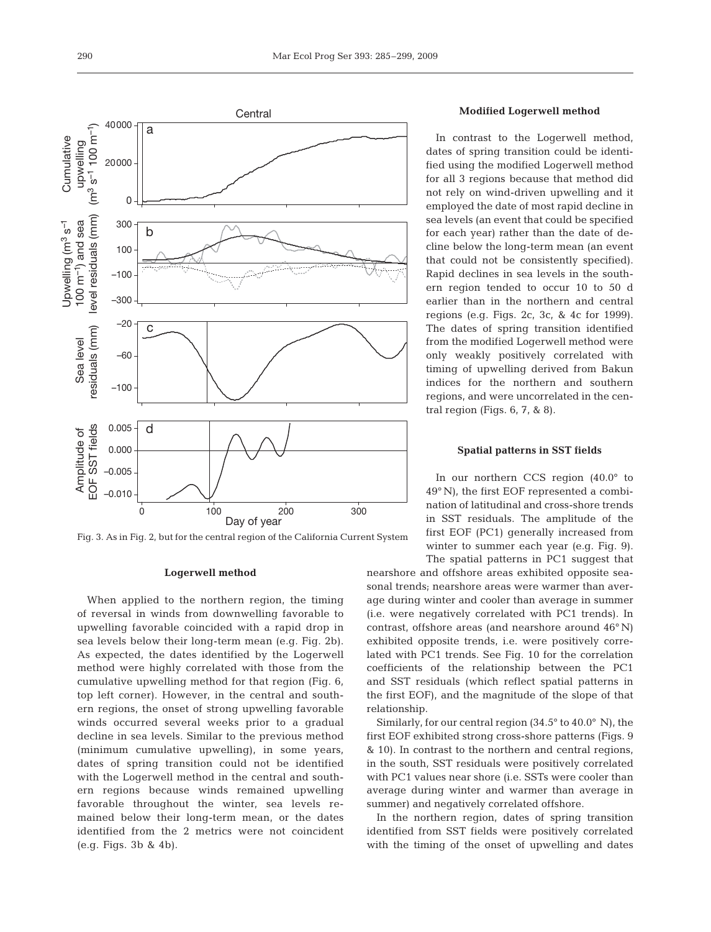

Fig. 3. As in Fig. 2, but for the central region of the California Current System

#### **Logerwell method**

When applied to the northern region, the timing of reversal in winds from downwelling favorable to upwelling favorable coincided with a rapid drop in sea levels below their long-term mean (e.g. Fig. 2b). As expected, the dates identified by the Logerwell method were highly correlated with those from the cumulative upwelling method for that region (Fig. 6, top left corner). However, in the central and southern regions, the onset of strong upwelling favorable winds occurred several weeks prior to a gradual decline in sea levels. Similar to the previous method (minimum cumulative upwelling), in some years, dates of spring transition could not be identified with the Logerwell method in the central and southern regions because winds remained upwelling favorable throughout the winter, sea levels remained below their long-term mean, or the dates identified from the 2 metrics were not coincident (e.g. Figs. 3b & 4b).

## **Modified Logerwell method**

In contrast to the Logerwell method, dates of spring transition could be identified using the modified Logerwell method for all 3 regions because that method did not rely on wind-driven upwelling and it employed the date of most rapid decline in sea levels (an event that could be specified for each year) rather than the date of decline below the long-term mean (an event that could not be consistently specified). Rapid declines in sea levels in the southern region tended to occur 10 to 50 d earlier than in the northern and central regions (e.g. Figs. 2c, 3c, & 4c for 1999). The dates of spring transition identified from the modified Logerwell method were only weakly positively correlated with timing of upwelling derived from Bakun indices for the northern and southern regions, and were uncorrelated in the central region (Figs. 6, 7, & 8).

## **Spatial patterns in SST fields**

In our northern CCS region (40.0° to 49° N), the first EOF represented a combination of latitudinal and cross-shore trends in SST residuals. The amplitude of the first EOF (PC1) generally increased from winter to summer each year (e.g. Fig. 9). The spatial patterns in PC1 suggest that

nearshore and offshore areas exhibited opposite seasonal trends; nearshore areas were warmer than average during winter and cooler than average in summer (i.e. were negatively correlated with PC1 trends). In contrast, offshore areas (and nearshore around 46° N) exhibited opposite trends, i.e. were positively correlated with PC1 trends. See Fig. 10 for the correlation coefficients of the relationship between the PC1 and SST residuals (which reflect spatial patterns in the first EOF), and the magnitude of the slope of that relationship.

Similarly, for our central region (34.5° to 40.0° N), the first EOF exhibited strong cross-shore patterns (Figs. 9 & 10). In contrast to the northern and central regions, in the south, SST residuals were positively correlated with PC1 values near shore (i.e. SSTs were cooler than average during winter and warmer than average in summer) and negatively correlated offshore.

In the northern region, dates of spring transition identified from SST fields were positively correlated with the timing of the onset of upwelling and dates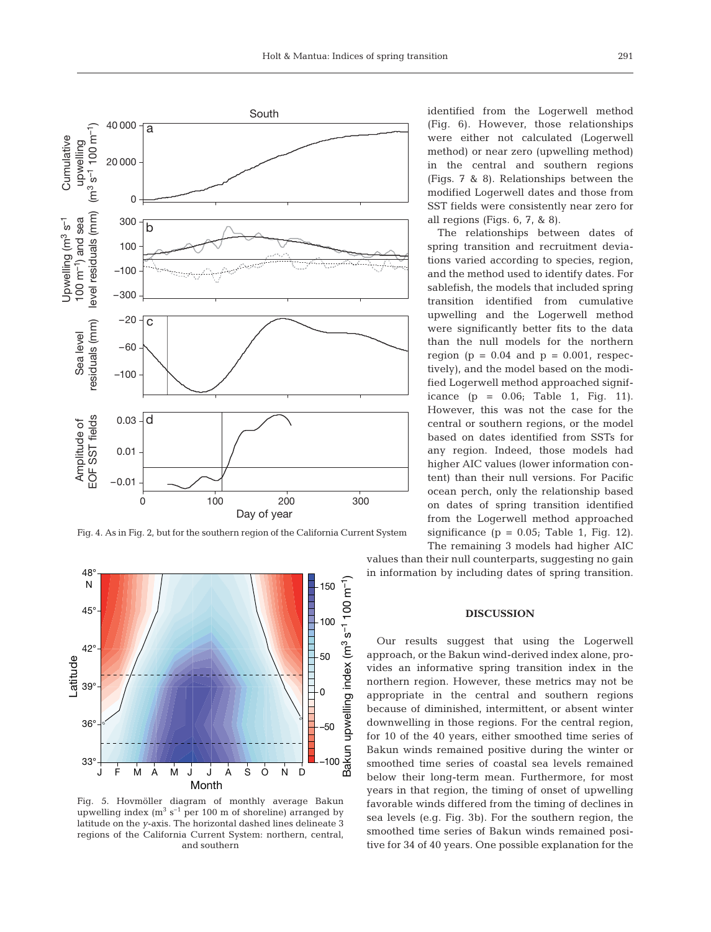

Fig. 4. As in Fig. 2, but for the southern region of the California Current System



Fig. 5. Hovmöller diagram of monthly average Bakun upwelling index  $(m^3 s^{-1}$  per 100 m of shoreline) arranged by latitude on the *y*-axis. The horizontal dashed lines delineate 3 regions of the California Current System: northern, central, and southern

identified from the Logerwell method (Fig. 6). However, those relationships were either not calculated (Logerwell method) or near zero (upwelling method) in the central and southern regions (Figs. 7 & 8). Relationships between the modified Logerwell dates and those from SST fields were consistently near zero for all regions (Figs. 6, 7, & 8).

The relationships between dates of spring transition and recruitment deviations varied according to species, region, and the method used to identify dates. For sablefish, the models that included spring transition identified from cumulative upwelling and the Logerwell method were significantly better fits to the data than the null models for the northern region ( $p = 0.04$  and  $p = 0.001$ , respectively), and the model based on the modified Logerwell method approached significance (p = 0.06; Table 1, Fig. 11). However, this was not the case for the central or southern regions, or the model based on dates identified from SSTs for any region. Indeed, those models had higher AIC values (lower information content) than their null versions. For Pacific ocean perch, only the relationship based on dates of spring transition identified from the Logerwell method approached significance ( $p = 0.05$ ; Table 1, Fig. 12). The remaining 3 models had higher AIC

values than their null counterparts, suggesting no gain in information by including dates of spring transition.

## **DISCUSSION**

Our results suggest that using the Logerwell approach, or the Bakun wind-derived index alone, provides an informative spring transition index in the northern region. However, these metrics may not be appropriate in the central and southern regions because of diminished, intermittent, or absent winter downwelling in those regions. For the central region, for 10 of the 40 years, either smoothed time series of Bakun winds remained positive during the winter or smoothed time series of coastal sea levels remained below their long-term mean. Furthermore, for most years in that region, the timing of onset of upwelling favorable winds differed from the timing of declines in sea levels (e.g. Fig. 3b). For the southern region, the smoothed time series of Bakun winds remained positive for 34 of 40 years. One possible explanation for the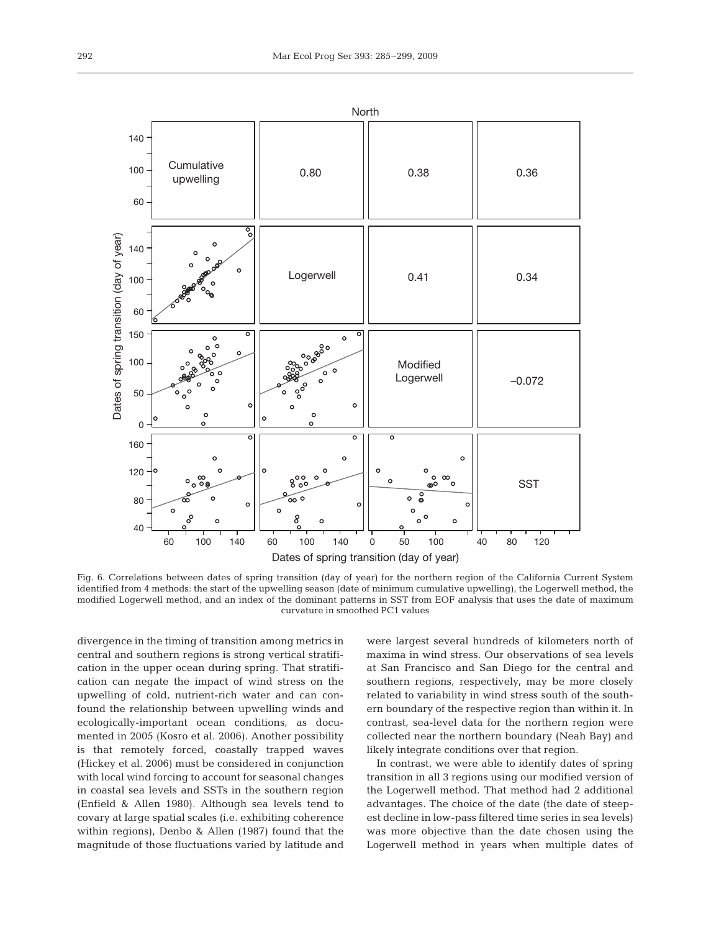

Fig. 6. Correlations between dates of spring transition (day of year) for the northern region of the California Current System identified from 4 methods: the start of the upwelling season (date of minimum cumulative upwelling), the Logerwell method, the modified Logerwell method, and an index of the dominant patterns in SST from EOF analysis that uses the date of maximum curvature in smoothed PC1 values

divergence in the timing of transition among metrics in central and southern regions is strong vertical stratification in the upper ocean during spring. That stratification can negate the impact of wind stress on the upwelling of cold, nutrient-rich water and can confound the relationship between upwelling winds and ecologically-important ocean conditions, as documented in 2005 (Kosro et al. 2006). Another possibility is that remotely forced, coastally trapped waves (Hickey et al. 2006) must be considered in conjunction with local wind forcing to account for seasonal changes in coastal sea levels and SSTs in the southern region (Enfield & Allen 1980). Although sea levels tend to covary at large spatial scales (i.e. exhibiting coherence within regions), Denbo & Allen (1987) found that the magnitude of those fluctuations varied by latitude and were largest several hundreds of kilometers north of maxima in wind stress. Our observations of sea levels at San Francisco and San Diego for the central and southern regions, respectively, may be more closely related to variability in wind stress south of the southern boundary of the respective region than within it. In contrast, sea-level data for the northern region were collected near the northern boundary (Neah Bay) and likely integrate conditions over that region.

In contrast, we were able to identify dates of spring transition in all 3 regions using our modified version of the Logerwell method. That method had 2 additional advantages. The choice of the date (the date of steepest decline in low-pass filtered time series in sea levels) was more objective than the date chosen using the Logerwell method in years when multiple dates of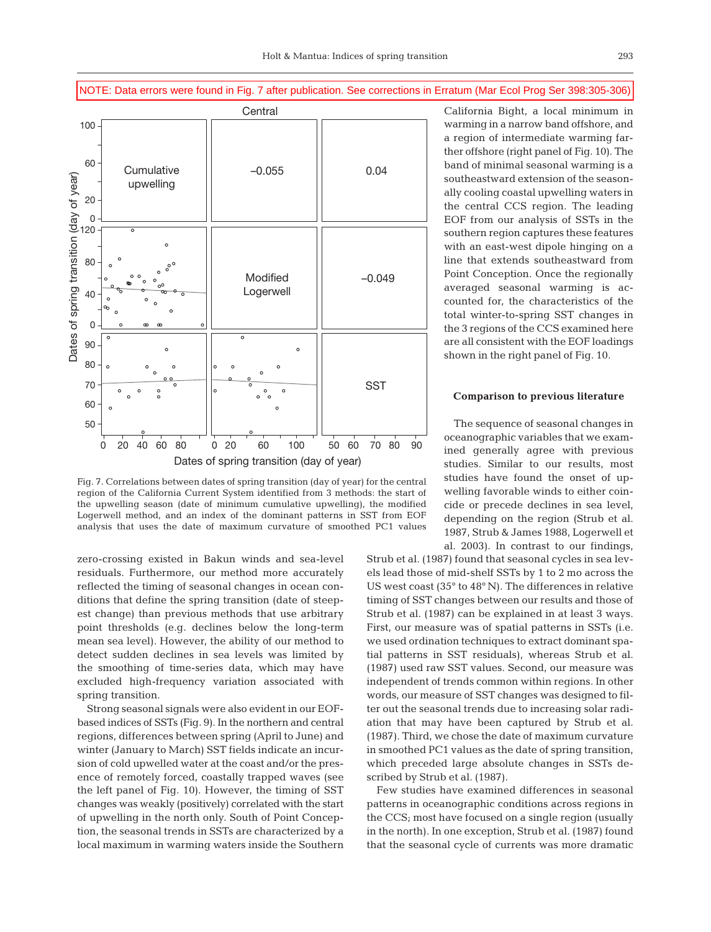NOTE: Data errors were found in Fig. 7 after publication. See corrections in Erratum (Mar Ecol Prog Ser 398:305-306)



Fig. 7. Correlations between dates of spring transition (day of year) for the central region of the California Current System identified from 3 methods: the start of the upwelling season (date of minimum cumulative upwelling), the modified Logerwell method, and an index of the dominant patterns in SST from EOF analysis that uses the date of maximum curvature of smoothed PC1 values

zero-crossing existed in Bakun winds and sea-level residuals. Furthermore, our method more accurately reflected the timing of seasonal changes in ocean conditions that define the spring transition (date of steepest change) than previous methods that use arbitrary point thresholds (e.g. declines below the long-term mean sea level). However, the ability of our method to detect sudden declines in sea levels was limited by the smoothing of time-series data, which may have excluded high-frequency variation associated with spring transition.

Strong seasonal signals were also evident in our EOFbased indices of SSTs (Fig. 9). In the northern and central regions, differences between spring (April to June) and winter (January to March) SST fields indicate an incursion of cold upwelled water at the coast and/or the presence of remotely forced, coastally trapped waves (see the left panel of Fig. 10). However, the timing of SST changes was weakly (positively) correlated with the start of upwelling in the north only. South of Point Conception, the seasonal trends in SSTs are characterized by a local maximum in warming waters inside the Southern

California Bight, a local minimum in warming in a narrow band offshore, and a region of intermediate warming farther offshore (right panel of Fig. 10). The band of minimal seasonal warming is a southeastward extension of the seasonally cooling coastal upwelling waters in the central CCS region. The leading EOF from our analysis of SSTs in the southern region captures these features with an east-west dipole hinging on a line that extends southeastward from Point Conception. Once the regionally averaged seasonal warming is accounted for, the characteristics of the total winter-to-spring SST changes in the 3 regions of the CCS examined here are all consistent with the EOF loadings shown in the right panel of Fig. 10.

#### **Comparison to previous literature**

The sequence of seasonal changes in oceanographic variables that we examined generally agree with previous studies. Similar to our results, most studies have found the onset of upwelling favorable winds to either coincide or precede declines in sea level, depending on the region (Strub et al. 1987, Strub & James 1988, Logerwell et al. 2003). In contrast to our findings,

Strub et al. (1987) found that seasonal cycles in sea levels lead those of mid-shelf SSTs by 1 to 2 mo across the US west coast (35° to 48° N). The differences in relative timing of SST changes between our results and those of Strub et al. (1987) can be explained in at least 3 ways. First, our measure was of spatial patterns in SSTs (i.e. we used ordination techniques to extract dominant spatial patterns in SST residuals), whereas Strub et al. (1987) used raw SST values. Second, our measure was independent of trends common within regions. In other words, our measure of SST changes was designed to filter out the seasonal trends due to increasing solar radiation that may have been captured by Strub et al. (1987). Third, we chose the date of maximum curvature in smoothed PC1 values as the date of spring transition, which preceded large absolute changes in SSTs described by Strub et al. (1987).

Few studies have examined differences in seasonal patterns in oceanographic conditions across regions in the CCS; most have focused on a single region (usually in the north). In one exception, Strub et al. (1987) found that the seasonal cycle of currents was more dramatic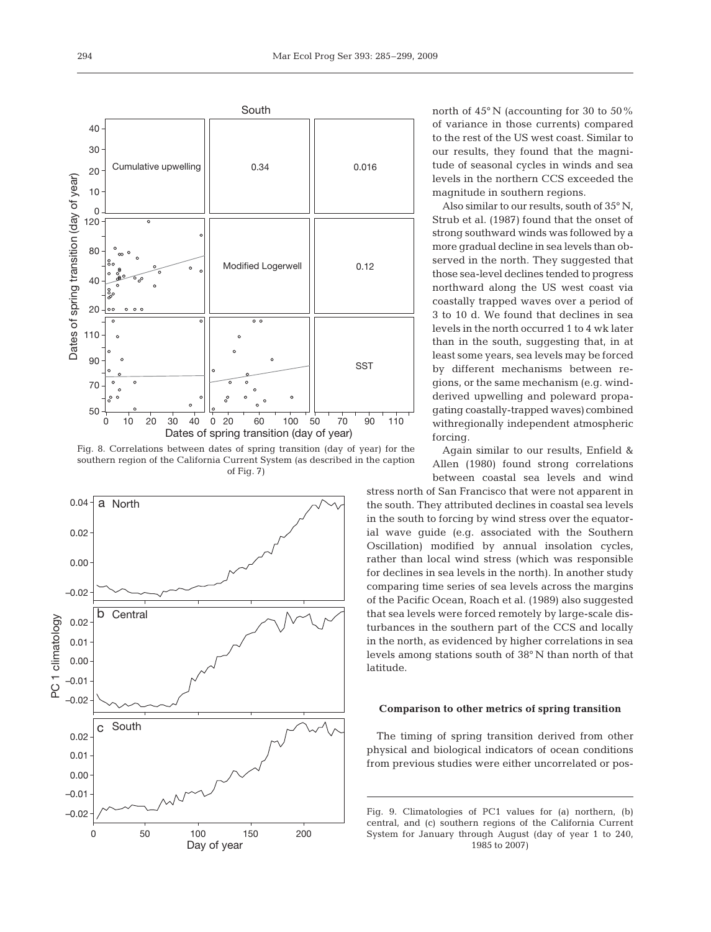

Fig. 8. Correlations between dates of spring transition (day of year) for the southern region of the California Current System (as described in the caption of Fig. 7)



north of 45° N (accounting for 30 to 50% of variance in those currents) compared to the rest of the US west coast. Similar to our results, they found that the magnitude of seasonal cycles in winds and sea levels in the northern CCS exceeded the magnitude in southern regions.

Also similar to our results, south of 35° N, Strub et al. (1987) found that the onset of strong southward winds was followed by a more gradual decline in sea levels than observed in the north. They suggested that those sea-level declines tended to progress northward along the US west coast via coastally trapped waves over a period of 3 to 10 d. We found that declines in sea levels in the north occurred 1 to 4 wk later than in the south, suggesting that, in at least some years, sea levels may be forced by different mechanisms between regions, or the same mechanism (e.g. windderived upwelling and poleward propagating coastally-trapped waves) combined withregionally independent atmospheric forcing.

Again similar to our results, Enfield & Allen (1980) found strong correlations between coastal sea levels and wind

stress north of San Francisco that were not apparent in the south. They attributed declines in coastal sea levels in the south to forcing by wind stress over the equatorial wave guide (e.g. associated with the Southern Oscillation) modified by annual insolation cycles, rather than local wind stress (which was responsible for declines in sea levels in the north). In another study comparing time series of sea levels across the margins of the Pacific Ocean, Roach et al. (1989) also suggested that sea levels were forced remotely by large-scale disturbances in the southern part of the CCS and locally in the north, as evidenced by higher correlations in sea levels among stations south of 38° N than north of that latitude.

#### **Comparison to other metrics of spring transition**

The timing of spring transition derived from other physical and biological indicators of ocean conditions from previous studies were either uncorrelated or pos-

Fig. 9. Climatologies of PC1 values for (a) northern, (b) central, and (c) southern regions of the California Current System for January through August (day of year 1 to 240, 1985 to 2007)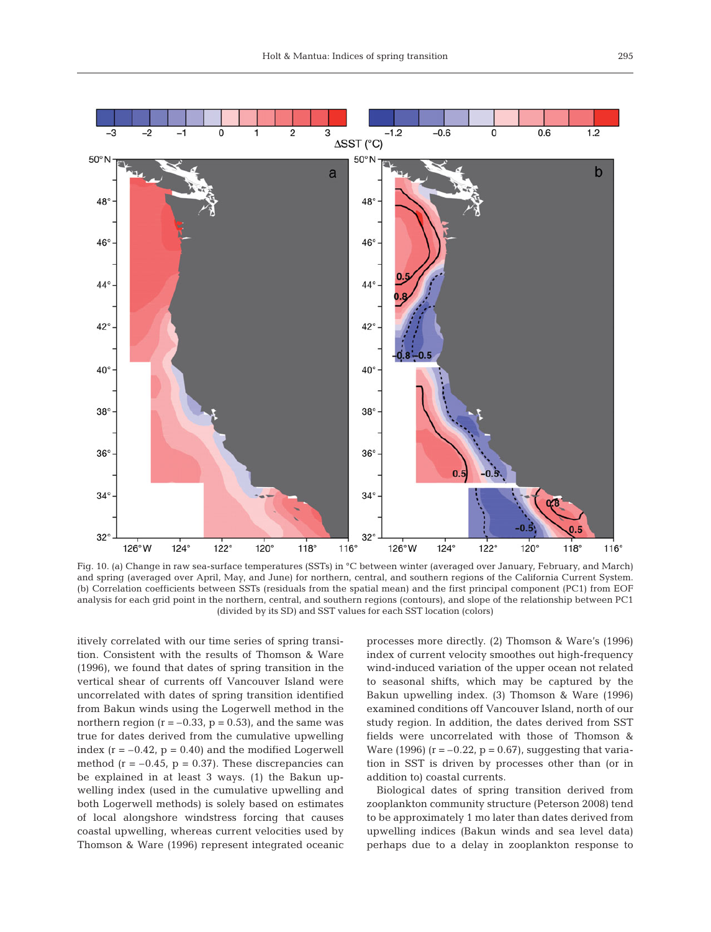

Fig. 10. (a) Change in raw sea-surface temperatures (SSTs) in °C between winter (averaged over January, February, and March) and spring (averaged over April, May, and June) for northern, central, and southern regions of the California Current System. (b) Correlation coefficients between SSTs (residuals from the spatial mean) and the first principal component (PC1) from EOF analysis for each grid point in the northern, central, and southern regions (contours), and slope of the relationship between PC1 (divided by its SD) and SST values for each SST location (colors)

itively correlated with our time series of spring transition. Consistent with the results of Thomson & Ware (1996), we found that dates of spring transition in the vertical shear of currents off Vancouver Island were uncorrelated with dates of spring transition identified from Bakun winds using the Logerwell method in the northern region  $(r = -0.33, p = 0.53)$ , and the same was true for dates derived from the cumulative upwelling index  $(r = -0.42, p = 0.40)$  and the modified Logerwell method  $(r = -0.45, p = 0.37)$ . These discrepancies can be explained in at least 3 ways. (1) the Bakun upwelling index (used in the cumulative upwelling and both Logerwell methods) is solely based on estimates of local alongshore windstress forcing that causes coastal upwelling, whereas current velocities used by Thomson & Ware (1996) represent integrated oceanic processes more directly. (2) Thomson & Ware's (1996) index of current velocity smoothes out high-frequency wind-induced variation of the upper ocean not related to seasonal shifts, which may be captured by the Bakun upwelling index. (3) Thomson & Ware (1996) examined conditions off Vancouver Island, north of our study region. In addition, the dates derived from SST fields were uncorrelated with those of Thomson & Ware (1996) ( $r = -0.22$ ,  $p = 0.67$ ), suggesting that variation in SST is driven by processes other than (or in addition to) coastal currents.

Biological dates of spring transition derived from zooplankton community structure (Peterson 2008) tend to be approximately 1 mo later than dates derived from upwelling indices (Bakun winds and sea level data) perhaps due to a delay in zooplankton response to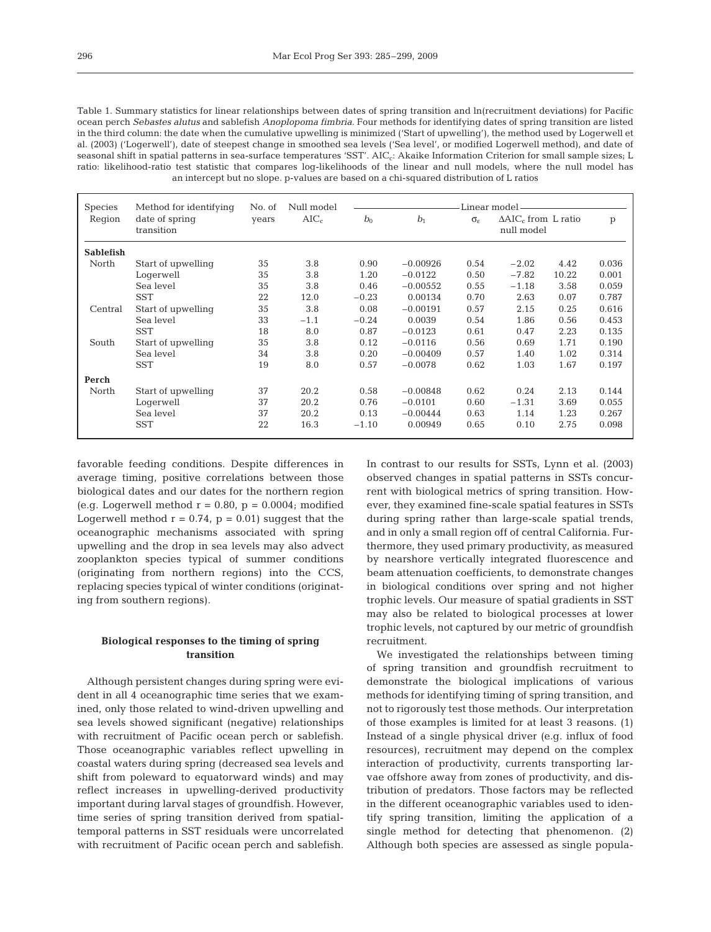Table 1. Summary statistics for linear relationships between dates of spring transition and ln(recruitment deviations) for Pacific ocean perch *Sebastes alutus* and sablefish *Anoplopoma fimbria*. Four methods for identifying dates of spring transition are listed in the third column: the date when the cumulative upwelling is minimized ('Start of upwelling'), the method used by Logerwell et al. (2003) ('Logerwell'), date of steepest change in smoothed sea levels ('Sea level', or modified Logerwell method), and date of seasonal shift in spatial patterns in sea-surface temperatures 'SST'. AICc: Akaike Information Criterion for small sample sizes; L ratio: likelihood-ratio test statistic that compares log-likelihoods of the linear and null models, where the null model has an intercept but no slope. p-values are based on a chi-squared distribution of L ratios

| <b>Species</b>   | Method for identifying       | No. of | Null model<br>$AIC_c$ | Linear model - |            |                  |                                           |       |       |
|------------------|------------------------------|--------|-----------------------|----------------|------------|------------------|-------------------------------------------|-------|-------|
| Region           | date of spring<br>transition | years  |                       | $b_0$          | $b_1$      | $\sigma_{\rm g}$ | $\Delta AIC_c$ from L ratio<br>null model |       | p     |
| <b>Sablefish</b> |                              |        |                       |                |            |                  |                                           |       |       |
| North            | Start of upwelling           | 35     | 3.8                   | 0.90           | $-0.00926$ | 0.54             | $-2.02$                                   | 4.42  | 0.036 |
|                  | Logerwell                    | 35     | 3.8                   | 1.20           | $-0.0122$  | 0.50             | $-7.82$                                   | 10.22 | 0.001 |
|                  | Sea level                    | 35     | 3.8                   | 0.46           | $-0.00552$ | 0.55             | $-1.18$                                   | 3.58  | 0.059 |
|                  | <b>SST</b>                   | 22     | 12.0                  | $-0.23$        | 0.00134    | 0.70             | 2.63                                      | 0.07  | 0.787 |
| Central          | Start of upwelling           | 35     | 3.8                   | 0.08           | $-0.00191$ | 0.57             | 2.15                                      | 0.25  | 0.616 |
|                  | Sea level                    | 33     | $-1.1$                | $-0.24$        | 0.0039     | 0.54             | 1.86                                      | 0.56  | 0.453 |
|                  | <b>SST</b>                   | 18     | 8.0                   | 0.87           | $-0.0123$  | 0.61             | 0.47                                      | 2.23  | 0.135 |
| South            | Start of upwelling           | 35     | 3.8                   | 0.12           | $-0.0116$  | 0.56             | 0.69                                      | 1.71  | 0.190 |
|                  | Sea level                    | 34     | 3.8                   | 0.20           | $-0.00409$ | 0.57             | 1.40                                      | 1.02  | 0.314 |
|                  | <b>SST</b>                   | 19     | 8.0                   | 0.57           | $-0.0078$  | 0.62             | 1.03                                      | 1.67  | 0.197 |
| Perch            |                              |        |                       |                |            |                  |                                           |       |       |
| North            | Start of upwelling           | 37     | 20.2                  | 0.58           | $-0.00848$ | 0.62             | 0.24                                      | 2.13  | 0.144 |
|                  | Logerwell                    | 37     | 20.2                  | 0.76           | $-0.0101$  | 0.60             | $-1.31$                                   | 3.69  | 0.055 |
|                  | Sea level                    | 37     | 20.2                  | 0.13           | $-0.00444$ | 0.63             | 1.14                                      | 1.23  | 0.267 |
|                  | <b>SST</b>                   | 22     | 16.3                  | $-1.10$        | 0.00949    | 0.65             | 0.10                                      | 2.75  | 0.098 |

favorable feeding conditions. Despite differences in average timing, positive correlations between those biological dates and our dates for the northern region (e.g. Logerwell method  $r = 0.80$ ,  $p = 0.0004$ ; modified Logerwell method  $r = 0.74$ ,  $p = 0.01$ ) suggest that the oceanographic mechanisms associated with spring upwelling and the drop in sea levels may also advect zooplankton species typical of summer conditions (originating from northern regions) into the CCS, replacing species typical of winter conditions (originating from southern regions).

## **Biological responses to the timing of spring transition**

Although persistent changes during spring were evident in all 4 oceanographic time series that we examined, only those related to wind-driven upwelling and sea levels showed significant (negative) relationships with recruitment of Pacific ocean perch or sablefish. Those oceanographic variables reflect upwelling in coastal waters during spring (decreased sea levels and shift from poleward to equatorward winds) and may reflect increases in upwelling-derived productivity important during larval stages of groundfish. However, time series of spring transition derived from spatialtemporal patterns in SST residuals were uncorrelated with recruitment of Pacific ocean perch and sablefish.

In contrast to our results for SSTs, Lynn et al. (2003) observed changes in spatial patterns in SSTs concurrent with biological metrics of spring transition. However, they examined fine-scale spatial features in SSTs during spring rather than large-scale spatial trends, and in only a small region off of central California. Furthermore, they used primary productivity, as measured by nearshore vertically integrated fluorescence and beam attenuation coefficients, to demonstrate changes in biological conditions over spring and not higher trophic levels. Our measure of spatial gradients in SST may also be related to biological processes at lower trophic levels, not captured by our metric of groundfish recruitment.

We investigated the relationships between timing of spring transition and groundfish recruitment to demonstrate the biological implications of various methods for identifying timing of spring transition, and not to rigorously test those methods. Our interpretation of those examples is limited for at least 3 reasons. (1) Instead of a single physical driver (e.g. influx of food resources), recruitment may depend on the complex interaction of productivity, currents transporting larvae offshore away from zones of productivity, and distribution of predators. Those factors may be reflected in the different oceanographic variables used to identify spring transition, limiting the application of a single method for detecting that phenomenon. (2) Although both species are assessed as single popula-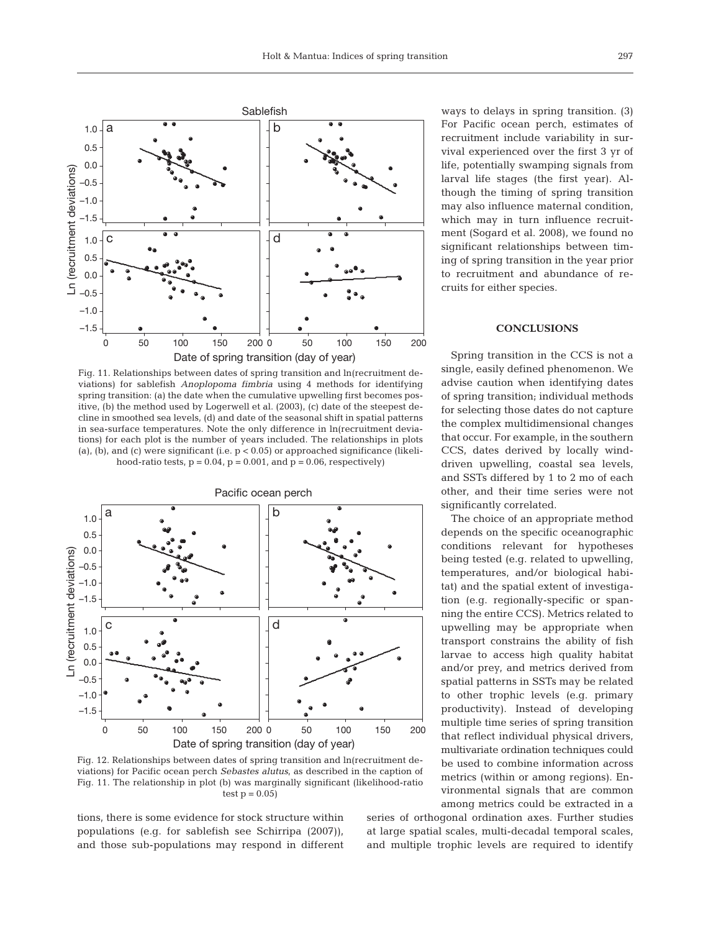

Fig. 11. Relationships between dates of spring transition and ln(recruitment deviations) for sablefish *Anoplopoma fimbria* using 4 methods for identifying spring transition: (a) the date when the cumulative upwelling first becomes positive, (b) the method used by Logerwell et al. (2003), (c) date of the steepest decline in smoothed sea levels, (d) and date of the seasonal shift in spatial patterns in sea-surface temperatures. Note the only difference in ln(recruitment deviations) for each plot is the number of years included. The relationships in plots (a), (b), and (c) were significant (i.e.  $p < 0.05$ ) or approached significance (likelihood-ratio tests,  $p = 0.04$ ,  $p = 0.001$ , and  $p = 0.06$ , respectively)



Fig. 12. Relationships between dates of spring transition and ln(recruitment deviations) for Pacific ocean perch *Sebastes alutus*, as described in the caption of Fig. 11. The relationship in plot (b) was marginally significant (likelihood-ratio test  $p = 0.05$ 

tions, there is some evidence for stock structure within populations (e.g. for sablefish see Schirripa (2007)), and those sub-populations may respond in different ways to delays in spring transition. (3) For Pacific ocean perch, estimates of recruitment include variability in survival experienced over the first 3 yr of life, potentially swamping signals from larval life stages (the first year). Although the timing of spring transition may also influence maternal condition, which may in turn influence recruitment (Sogard et al. 2008), we found no significant relationships between timing of spring transition in the year prior to recruitment and abundance of recruits for either species.

#### **CONCLUSIONS**

Spring transition in the CCS is not a single, easily defined phenomenon. We advise caution when identifying dates of spring transition; individual methods for selecting those dates do not capture the complex multidimensional changes that occur. For example, in the southern CCS, dates derived by locally winddriven upwelling, coastal sea levels, and SSTs differed by 1 to 2 mo of each other, and their time series were not significantly correlated.

The choice of an appropriate method depends on the specific oceanographic conditions relevant for hypotheses being tested (e.g. related to upwelling, temperatures, and/or biological habitat) and the spatial extent of investigation (e.g. regionally-specific or spanning the entire CCS). Metrics related to upwelling may be appropriate when transport constrains the ability of fish larvae to access high quality habitat and/or prey, and metrics derived from spatial patterns in SSTs may be related to other trophic levels (e.g. primary productivity). Instead of developing multiple time series of spring transition that reflect individual physical drivers, multivariate ordination techniques could be used to combine information across metrics (within or among regions). Environmental signals that are common among metrics could be extracted in a

series of orthogonal ordination axes. Further studies at large spatial scales, multi-decadal temporal scales, and multiple trophic levels are required to identify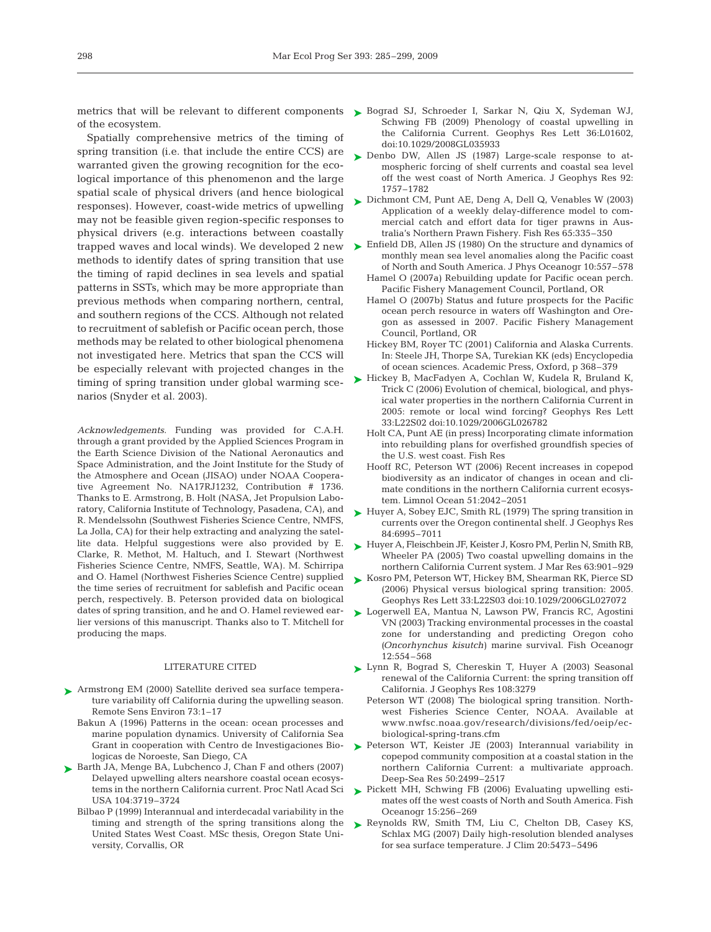of the ecosystem.

Spatially comprehensive metrics of the timing of spring transition (i.e. that include the entire CCS) are warranted given the growing recognition for the ecological importance of this phenomenon and the large spatial scale of physical drivers (and hence biological responses). However, coast-wide metrics of upwelling may not be feasible given region-specific responses to physical drivers (e.g. interactions between coastally trapped waves and local winds). We developed 2 new methods to identify dates of spring transition that use the timing of rapid declines in sea levels and spatial patterns in SSTs, which may be more appropriate than previous methods when comparing northern, central, and southern regions of the CCS. Although not related to recruitment of sablefish or Pacific ocean perch, those methods may be related to other biological phenomena not investigated here. Metrics that span the CCS will be especially relevant with projected changes in the timing of spring transition under global warming scenarios (Snyder et al. 2003).

*Acknowledgements.* Funding was provided for C.A.H. through a grant provided by the Applied Sciences Program in the Earth Science Division of the National Aeronautics and Space Administration, and the Joint Institute for the Study of the Atmosphere and Ocean (JISAO) under NOAA Cooperative Agreement No. NA17RJ1232, Contribution # 1736. Thanks to E. Armstrong, B. Holt (NASA, Jet Propulsion Laboratory, California Institute of Technology, Pasadena, CA), and R. Mendelssohn (Southwest Fisheries Science Centre, NMFS, La Jolla, CA) for their help extracting and analyzing the satellite data. Helpful suggestions were also provided by E. Clarke, R. Methot, M. Haltuch, and I. Stewart (Northwest Fisheries Science Centre, NMFS, Seattle, WA). M. Schirripa and O. Hamel (Northwest Fisheries Science Centre) supplied the time series of recruitment for sablefish and Pacific ocean perch, respectively. B. Peterson provided data on biological dates of spring transition, and he and O. Hamel reviewed earlier versions of this manuscript. Thanks also to T. Mitchell for producing the maps.

#### LITERATURE CITED

- ▶ Armstrong EM (2000) Satellite derived sea surface temperature variability off California during the upwelling season. Remote Sens Environ 73:1–17
	- Bakun A (1996) Patterns in the ocean: ocean processes and marine population dynamics. University of California Sea Grant in cooperation with Centro de Investigaciones Biologicas de Noroeste, San Diego, CA
- ▶ Barth JA, Menge BA, Lubchenco J, Chan F and others (2007) Delayed upwelling alters nearshore coastal ocean ecosystems in the northern California current. Proc Natl Acad Sci USA 104:3719–3724
	- Bilbao P (1999) Interannual and interdecadal variability in the timing and strength of the spring transitions along the United States West Coast. MSc thesis, Oregon State University, Corvallis, OR
- metrics that will be relevant to different components > Bograd SJ, Schroeder I, Sarkar N, Qiu X, Sydeman WJ, Schwing FB (2009) Phenology of coastal upwelling in the California Current. Geophys Res Lett 36:L01602, doi:10.1029/2008GL035933
	- ► Denbo DW, Allen JS (1987) Large-scale response to atmospheric forcing of shelf currents and coastal sea level off the west coast of North America. J Geophys Res 92: 1757–1782
	- ► Dichmont CM, Punt AE, Deng A, Dell Q, Venables W (2003) Application of a weekly delay-difference model to commercial catch and effort data for tiger prawns in Australia's Northern Prawn Fishery. Fish Res 65:335–350
	- ► Enfield DB, Allen JS (1980) On the structure and dynamics of monthly mean sea level anomalies along the Pacific coast of North and South America. J Phys Oceanogr 10:557–578
		- Hamel O (2007a) Rebuilding update for Pacific ocean perch. Pacific Fishery Management Council, Portland, OR
		- Hamel O (2007b) Status and future prospects for the Pacific ocean perch resource in waters off Washington and Oregon as assessed in 2007. Pacific Fishery Management Council, Portland, OR
		- Hickey BM, Royer TC (2001) California and Alaska Currents. In: Steele JH, Thorpe SA, Turekian KK (eds) Encyclopedia of ocean sciences. Academic Press, Oxford, p 368–379
	- ► Hickey B, MacFadyen A, Cochlan W, Kudela R, Bruland K, Trick C (2006) Evolution of chemical, biological, and physical water properties in the northern California Current in 2005: remote or local wind forcing? Geophys Res Lett 33:L22S02 doi:10.1029/2006GL026782
		- Holt CA, Punt AE (in press) Incorporating climate information into rebuilding plans for overfished groundfish species of the U.S. west coast. Fish Res
		- Hooff RC, Peterson WT (2006) Recent increases in copepod biodiversity as an indicator of changes in ocean and climate conditions in the northern California current ecosystem. Limnol Ocean 51:2042–2051
	- ► Huyer A, Sobey EJC, Smith RL (1979) The spring transition in currents over the Oregon continental shelf. J Geophys Res 84:6995–7011
	- ► Huyer A, Fleischbein JF, Keister J, Kosro PM, Perlin N, Smith RB, Wheeler PA (2005) Two coastal upwelling domains in the northern California Current system. J Mar Res 63:901–929
	- ► Kosro PM, Peterson WT, Hickey BM, Shearman RK, Pierce SD (2006) Physical versus biological spring transition: 2005. Geophys Res Lett 33:L22S03 doi:10.1029/2006GL027072
	- ► Logerwell EA, Mantua N, Lawson PW, Francis RC, Agostini VN (2003) Tracking environmental processes in the coastal zone for understanding and predicting Oregon coho (*Oncorhynchus kisutch*) marine survival. Fish Oceanogr 12:554–568
	- ► Lynn R, Bograd S, Chereskin T, Huyer A (2003) Seasonal renewal of the California Current: the spring transition off California. J Geophys Res 108:3279
		- Peterson WT (2008) The biological spring transition. Northwest Fisheries Science Center, NOAA. Available at www.nwfsc.noaa.gov/research/divisions/fed/oeip/ecbiological-spring-trans.cfm
	- ▶ Peterson WT, Keister JE (2003) Interannual variability in copepod community composition at a coastal station in the northern California Current: a multivariate approach. Deep-Sea Res 50:2499–2517
	- ▶ Pickett MH, Schwing FB (2006) Evaluating upwelling estimates off the west coasts of North and South America. Fish Oceanogr 15:256–269
	- ▶ Reynolds RW, Smith TM, Liu C, Chelton DB, Casey KS, Schlax MG (2007) Daily high-resolution blended analyses for sea surface temperature. J Clim 20:5473–5496